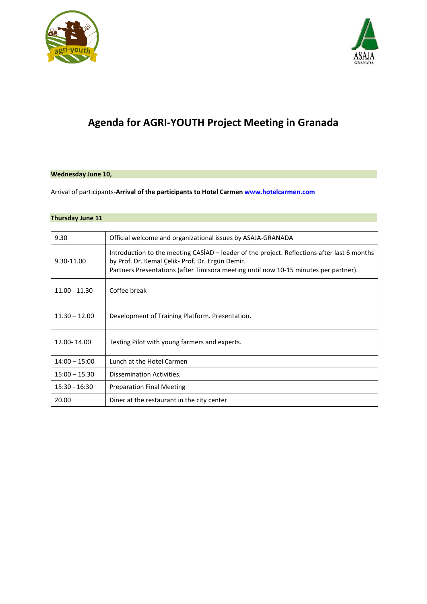



# **Agenda for AGRI-YOUTH Project Meeting in Granada**

#### **Wednesday June 10,**

Arrival of participants-**Arrival of the participants to Hotel Carmen [www.hotelcarmen.com](http://www.hotelcarmen.com/)**

### **Thursday June 11**

| 9.30            | Official welcome and organizational issues by ASAJA-GRANADA                                                                                                                                                                             |
|-----------------|-----------------------------------------------------------------------------------------------------------------------------------------------------------------------------------------------------------------------------------------|
| 9.30-11.00      | Introduction to the meeting CASIAD – leader of the project. Reflections after last 6 months<br>by Prof. Dr. Kemal Çelik- Prof. Dr. Ergün Demir.<br>Partners Presentations (after Timisora meeting until now 10-15 minutes per partner). |
| $11.00 - 11.30$ | Coffee break                                                                                                                                                                                                                            |
| $11.30 - 12.00$ | Development of Training Platform. Presentation.                                                                                                                                                                                         |
| 12.00-14.00     | Testing Pilot with young farmers and experts.                                                                                                                                                                                           |
| $14:00 - 15:00$ | Lunch at the Hotel Carmen                                                                                                                                                                                                               |
| $15:00 - 15.30$ | Dissemination Activities.                                                                                                                                                                                                               |
| $15:30 - 16:30$ | <b>Preparation Final Meeting</b>                                                                                                                                                                                                        |
| 20.00           | Diner at the restaurant in the city center                                                                                                                                                                                              |